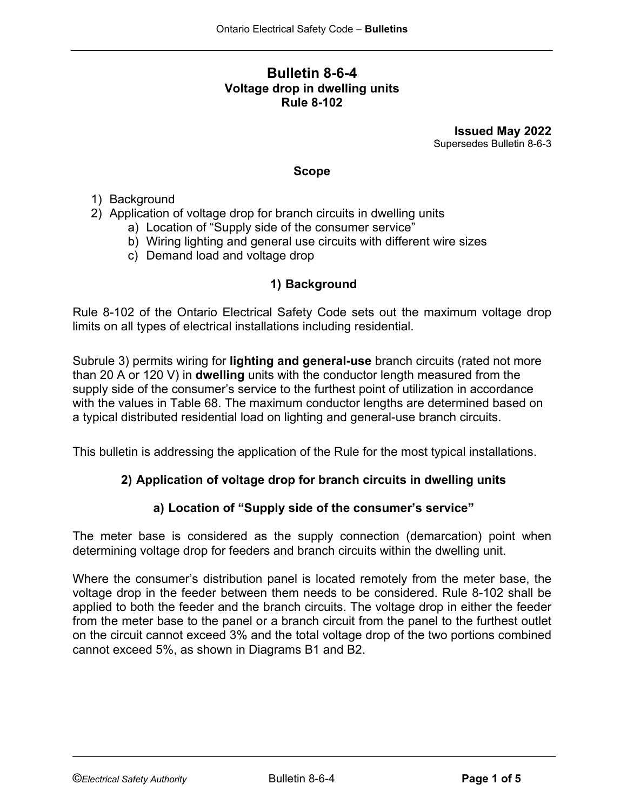#### **Bulletin 8-6-4 Voltage drop in dwelling units Rule 8-102**

**Issued May 2022** Supersedes Bulletin 8-6-3

#### **Scope**

- 1) Background
- 2) Application of voltage drop for branch circuits in dwelling units
	- a) Location of "Supply side of the consumer service"
	- b) Wiring lighting and general use circuits with different wire sizes
	- c) Demand load and voltage drop

# **1) Background**

Rule 8-102 of the Ontario Electrical Safety Code sets out the maximum voltage drop limits on all types of electrical installations including residential.

Subrule 3) permits wiring for **lighting and general-use** branch circuits (rated not more than 20 A or 120 V) in **dwelling** units with the conductor length measured from the supply side of the consumer's service to the furthest point of utilization in accordance with the values in Table 68. The maximum conductor lengths are determined based on a typical distributed residential load on lighting and general-use branch circuits.

This bulletin is addressing the application of the Rule for the most typical installations.

#### **2) Application of voltage drop for branch circuits in dwelling units**

#### **a) Location of "Supply side of the consumer's service"**

The meter base is considered as the supply connection (demarcation) point when determining voltage drop for feeders and branch circuits within the dwelling unit.

Where the consumer's distribution panel is located remotely from the meter base, the voltage drop in the feeder between them needs to be considered. Rule 8-102 shall be applied to both the feeder and the branch circuits. The voltage drop in either the feeder from the meter base to the panel or a branch circuit from the panel to the furthest outlet on the circuit cannot exceed 3% and the total voltage drop of the two portions combined cannot exceed 5%, as shown in Diagrams B1 and B2.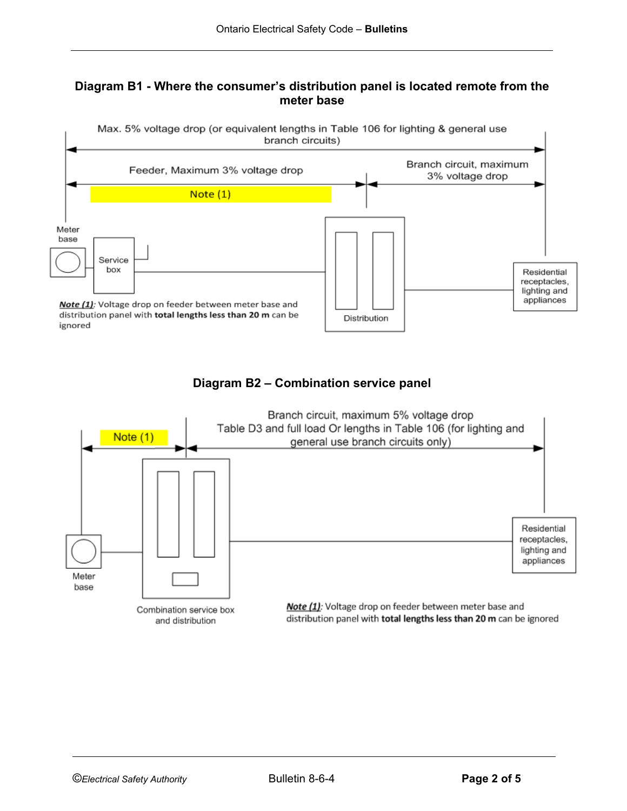#### **Diagram B1 - Where the consumer's distribution panel is located remote from the meter base**



# **Diagram B2 – Combination service panel**

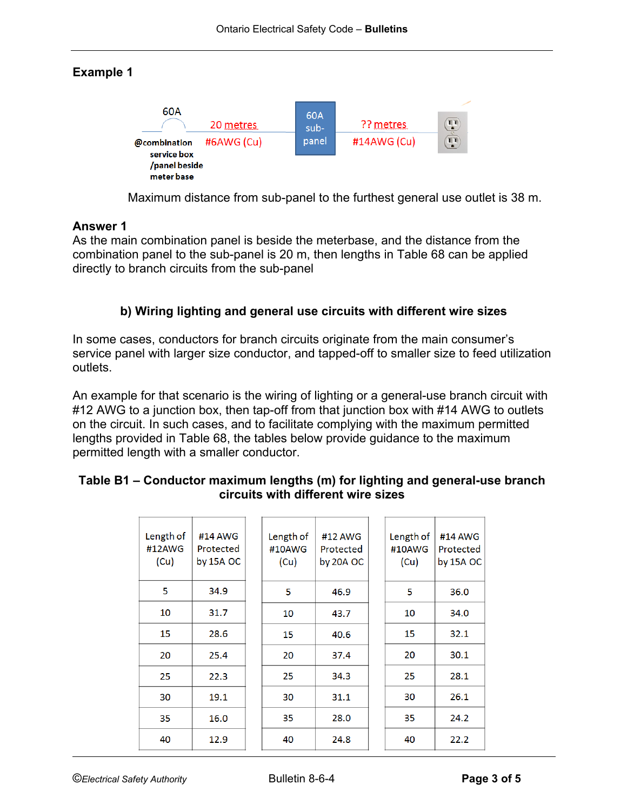# **Example 1**



Maximum distance from sub-panel to the furthest general use outlet is 38 m.

# **Answer 1**

As the main combination panel is beside the meterbase, and the distance from the combination panel to the sub-panel is 20 m, then lengths in Table 68 can be applied directly to branch circuits from the sub-panel

# **b) Wiring lighting and general use circuits with different wire sizes**

In some cases, conductors for branch circuits originate from the main consumer's service panel with larger size conductor, and tapped-off to smaller size to feed utilization outlets.

An example for that scenario is the wiring of lighting or a general-use branch circuit with #12 AWG to a junction box, then tap-off from that junction box with #14 AWG to outlets on the circuit. In such cases, and to facilitate complying with the maximum permitted lengths provided in Table 68, the tables below provide guidance to the maximum permitted length with a smaller conductor.

| Length of<br>#12AWG<br>(Cu) | #14 AWG<br>Protected<br>by 15A OC | Length of<br>#10AWG<br>(Cu) | #12 AWG<br>Protected<br>by 20A OC | Length of<br>#10AWG<br>(Cu) | #14 AWG<br>Protected<br>by 15A OC |
|-----------------------------|-----------------------------------|-----------------------------|-----------------------------------|-----------------------------|-----------------------------------|
| 5                           | 34.9                              | 5                           | 46.9                              | 5                           | 36.0                              |
| 10                          | 31.7                              | 10                          | 43.7                              | 10                          | 34.0                              |
| 15                          | 28.6                              | 15                          | 40.6                              | 15                          | 32.1                              |
| 20                          | 25.4                              | 20                          | 37.4                              | 20                          | 30.1                              |
| 25                          | 22.3                              | 25                          | 34.3                              | 25                          | 28.1                              |
| 30                          | 19.1                              | 30                          | 31.1                              | 30                          | 26.1                              |
| 35                          | 16.0                              | 35                          | 28.0                              | 35                          | 24.2                              |
| 40                          | 12.9                              | 40                          | 24.8                              | 40                          | 22.2                              |

# **Table B1 – Conductor maximum lengths (m) for lighting and general-use branch circuits with different wire sizes**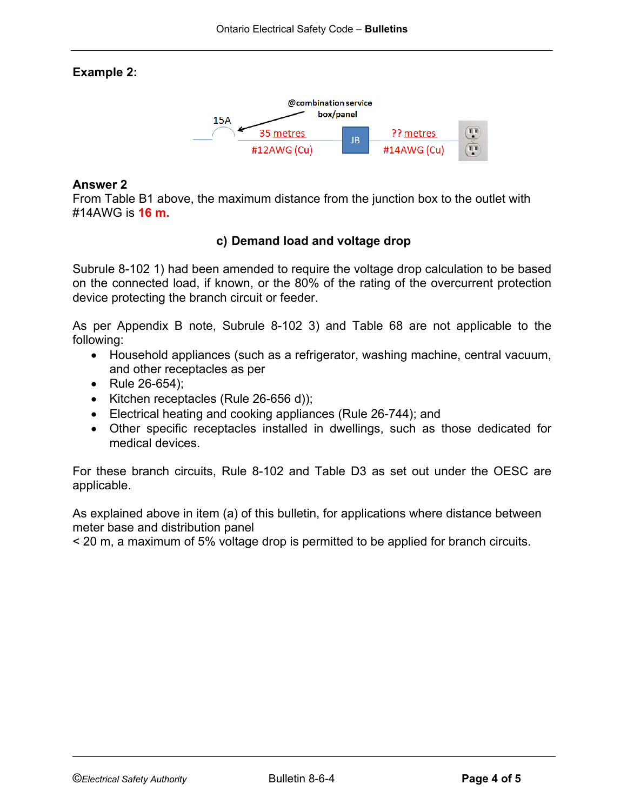# **Example 2:**



#### **Answer 2**

From Table B1 above, the maximum distance from the junction box to the outlet with #14AWG is **16 m.**

# **c) Demand load and voltage drop**

Subrule 8-102 1) had been amended to require the voltage drop calculation to be based on the connected load, if known, or the 80% of the rating of the overcurrent protection device protecting the branch circuit or feeder.

As per Appendix B note, Subrule 8-102 3) and Table 68 are not applicable to the following:

- Household appliances (such as a refrigerator, washing machine, central vacuum, and other receptacles as per
- Rule 26-654);
- Kitchen receptacles (Rule 26-656 d));
- Electrical heating and cooking appliances (Rule 26-744); and
- Other specific receptacles installed in dwellings, such as those dedicated for medical devices.

For these branch circuits, Rule 8-102 and Table D3 as set out under the OESC are applicable.

As explained above in item (a) of this bulletin, for applications where distance between meter base and distribution panel

< 20 m, a maximum of 5% voltage drop is permitted to be applied for branch circuits.